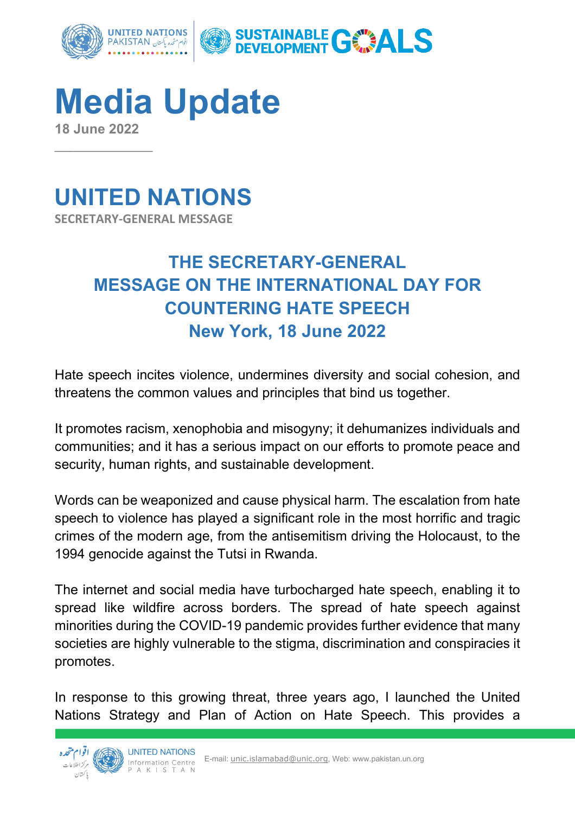

**Media Update 18 June 2022**



 $\overline{\phantom{a}}$ 

## **THE SECRETARY-GENERAL MESSAGE ON THE INTERNATIONAL DAY FOR COUNTERING HATE SPEECH New York, 18 June 2022**

Hate speech incites violence, undermines diversity and social cohesion, and threatens the common values and principles that bind us together.

It promotes racism, xenophobia and misogyny; it dehumanizes individuals and communities; and it has a serious impact on our efforts to promote peace and security, human rights, and sustainable development.

Words can be weaponized and cause physical harm. The escalation from hate speech to violence has played a significant role in the most horrific and tragic crimes of the modern age, from the antisemitism driving the Holocaust, to the 1994 genocide against the Tutsi in Rwanda.

The internet and social media have turbocharged hate speech, enabling it to spread like wildfire across borders. The spread of hate speech against minorities during the COVID-19 pandemic provides further evidence that many societies are highly vulnerable to the stigma, discrimination and conspiracies it promotes.

In response to this growing threat, three years ago, I launched the United Nations Strategy and Plan of Action on Hate Speech. This provides a